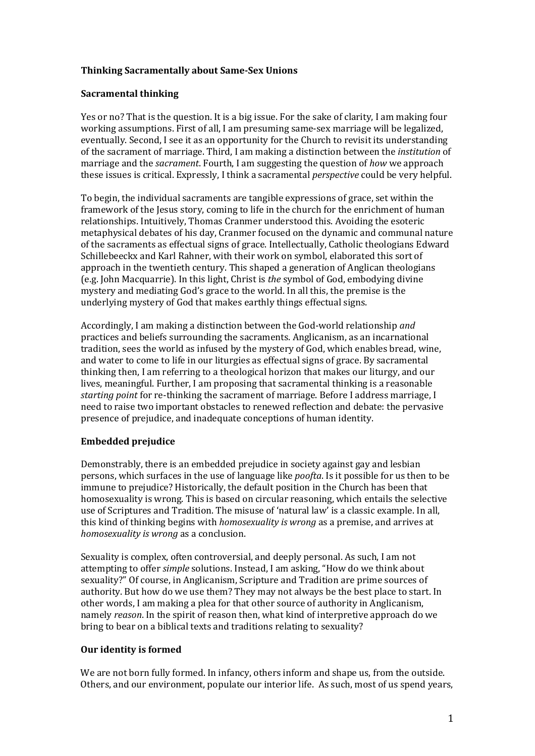# **Thinking Sacramentally about Same-Sex Unions**

## **Sacramental thinking**

Yes or no? That is the question. It is a big issue. For the sake of clarity, I am making four working assumptions. First of all, I am presuming same-sex marriage will be legalized, eventually. Second, I see it as an opportunity for the Church to revisit its understanding of the sacrament of marriage. Third, I am making a distinction between the *institution* of marriage and the *sacrament*. Fourth, I am suggesting the question of *how* we approach these issues is critical. Expressly, I think a sacramental *perspective* could be very helpful.

To begin, the individual sacraments are tangible expressions of grace, set within the framework of the Jesus story, coming to life in the church for the enrichment of human relationships. Intuitively, Thomas Cranmer understood this. Avoiding the esoteric metaphysical debates of his day, Cranmer focused on the dynamic and communal nature of the sacraments as effectual signs of grace. Intellectually, Catholic theologians Edward Schillebeeckx and Karl Rahner, with their work on symbol, elaborated this sort of approach in the twentieth century. This shaped a generation of Anglican theologians (e.g. John Macquarrie). In this light, Christ is *the* symbol of God, embodying divine mystery and mediating God's grace to the world. In all this, the premise is the underlying mystery of God that makes earthly things effectual signs.

Accordingly, I am making a distinction between the God-world relationship *and* practices and beliefs surrounding the sacraments. Anglicanism, as an incarnational tradition, sees the world as infused by the mystery of God, which enables bread, wine, and water to come to life in our liturgies as effectual signs of grace. By sacramental thinking then, I am referring to a theological horizon that makes our liturgy, and our lives, meaningful. Further, I am proposing that sacramental thinking is a reasonable *starting point* for re-thinking the sacrament of marriage. Before I address marriage, I need to raise two important obstacles to renewed reflection and debate: the pervasive presence of prejudice, and inadequate conceptions of human identity.

# **Embedded prejudice**

Demonstrably, there is an embedded prejudice in society against gay and lesbian persons, which surfaces in the use of language like *poofta*. Is it possible for us then to be immune to prejudice? Historically, the default position in the Church has been that homosexuality is wrong. This is based on circular reasoning, which entails the selective use of Scriptures and Tradition. The misuse of 'natural law' is a classic example. In all, this kind of thinking begins with *homosexuality is wrong* as a premise, and arrives at *homosexuality is wrong* as a conclusion.

Sexuality is complex, often controversial, and deeply personal. As such, I am not attempting to offer *simple* solutions. Instead, I am asking, "How do we think about sexuality?" Of course, in Anglicanism, Scripture and Tradition are prime sources of authority. But how do we use them? They may not always be the best place to start. In other words, I am making a plea for that other source of authority in Anglicanism, namely *reason*. In the spirit of reason then, what kind of interpretive approach do we bring to bear on a biblical texts and traditions relating to sexuality?

#### **Our identity is formed**

We are not born fully formed. In infancy, others inform and shape us, from the outside. Others, and our environment, populate our interior life. As such, most of us spend years,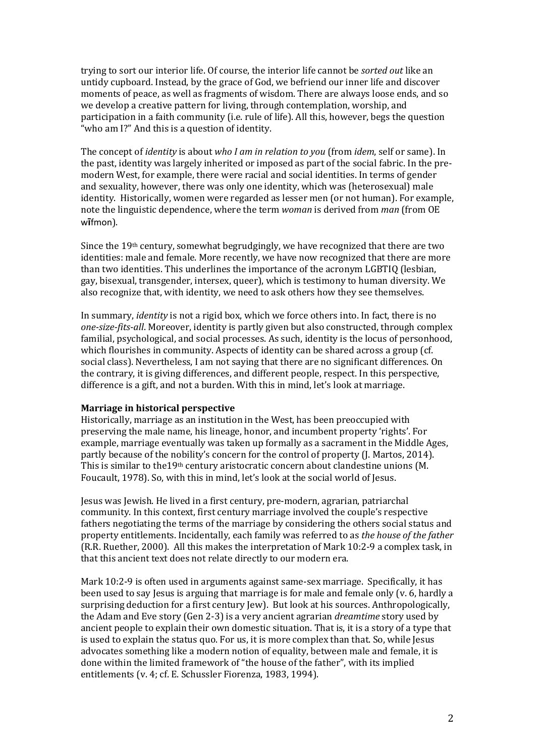trying to sort our interior life. Of course, the interior life cannot be *sorted out* like an untidy cupboard. Instead, by the grace of God, we befriend our inner life and discover moments of peace, as well as fragments of wisdom. There are always loose ends, and so we develop a creative pattern for living, through contemplation, worship, and participation in a faith community (i.e. rule of life). All this, however, begs the question "who am I?" And this is a question of identity.

The concept of *identity* is about *who I am in relation to you* (from *idem*, self or same). In the past, identity was largely inherited or imposed as part of the social fabric. In the premodern West, for example, there were racial and social identities. In terms of gender and sexuality, however, there was only one identity, which was (heterosexual) male identity. Historically, women were regarded as lesser men (or not human). For example, note the linguistic dependence, where the term *woman* is derived from *man* (from OE w**ī**fmon).

Since the 19th century, somewhat begrudgingly, we have recognized that there are two identities: male and female. More recently, we have now recognized that there are more than two identities. This underlines the importance of the acronym LGBTIQ (lesbian, gay, bisexual, transgender, intersex, queer), which is testimony to human diversity. We also recognize that, with identity, we need to ask others how they see themselves.

In summary, *identity* is not a rigid box, which we force others into. In fact, there is no *one-size-fits-all*. Moreover, identity is partly given but also constructed, through complex familial, psychological, and social processes. As such, identity is the locus of personhood, which flourishes in community. Aspects of identity can be shared across a group (cf. social class). Nevertheless, I am not saying that there are no significant differences. On the contrary, it is giving differences, and different people, respect. In this perspective, difference is a gift, and not a burden. With this in mind, let's look at marriage.

# **Marriage in historical perspective**

Historically, marriage as an institution in the West, has been preoccupied with preserving the male name, his lineage, honor, and incumbent property 'rights'. For example, marriage eventually was taken up formally as a sacrament in the Middle Ages, partly because of the nobility's concern for the control of property (J. Martos, 2014). This is similar to the 19<sup>th</sup> century aristocratic concern about clandestine unions (M. Foucault, 1978). So, with this in mind, let's look at the social world of Jesus.

Jesus was Jewish. He lived in a first century, pre-modern, agrarian, patriarchal community. In this context, first century marriage involved the couple's respective fathers negotiating the terms of the marriage by considering the others social status and property entitlements. Incidentally, each family was referred to as *the house of the father* (R.R. Ruether, 2000). All this makes the interpretation of Mark 10:2-9 a complex task, in that this ancient text does not relate directly to our modern era.

Mark 10:2-9 is often used in arguments against same-sex marriage. Specifically, it has been used to say Jesus is arguing that marriage is for male and female only (v. 6, hardly a surprising deduction for a first century Jew). But look at his sources. Anthropologically, the Adam and Eve story (Gen 2-3) is a very ancient agrarian *dreamtime* story used by ancient people to explain their own domestic situation. That is, it is a story of a type that is used to explain the status quo. For us, it is more complex than that. So, while Jesus advocates something like a modern notion of equality, between male and female, it is done within the limited framework of "the house of the father", with its implied entitlements (v. 4; cf. E. Schussler Fiorenza, 1983, 1994).